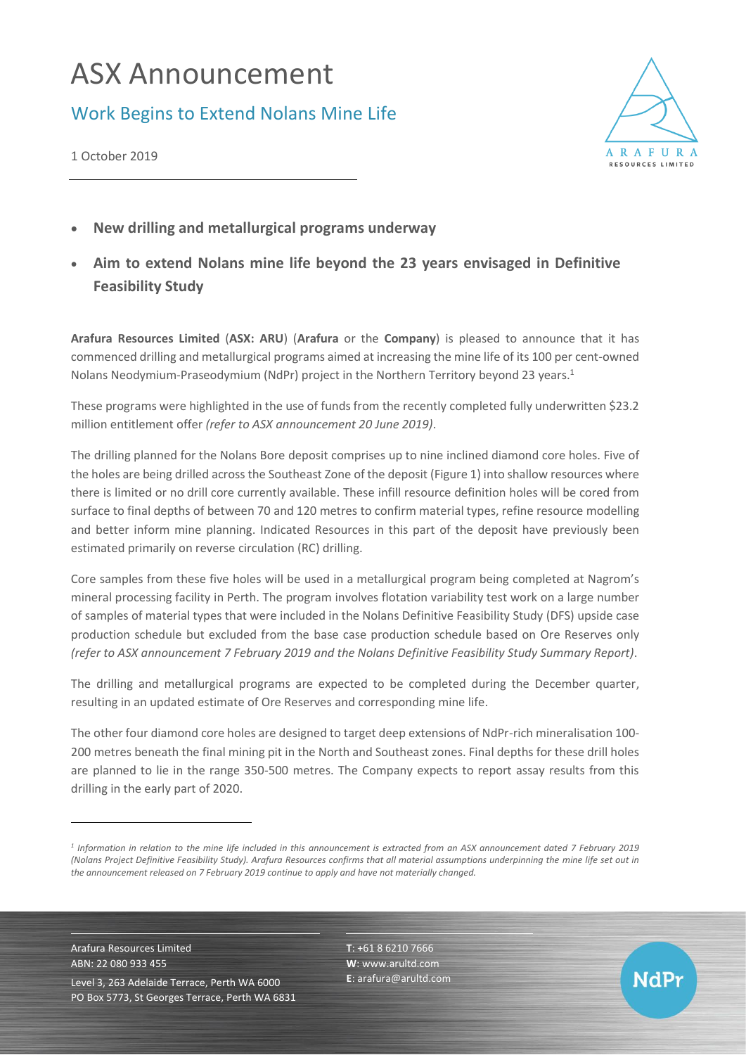# ASX Announcement

## Work Begins to Extend Nolans Mine Life



**NdPr** 

1 October 2019

- **New drilling and metallurgical programs underway**
- **Aim to extend Nolans mine life beyond the 23 years envisaged in Definitive Feasibility Study**

**Arafura Resources Limited** (**ASX: ARU**) (**Arafura** or the **Company**) is pleased to announce that it has commenced drilling and metallurgical programs aimed at increasing the mine life of its 100 per cent-owned Nolans Neodymium-Praseodymium (NdPr) project in the Northern Territory beyond 23 years. 1

These programs were highlighted in the use of funds from the recently completed fully underwritten \$23.2 million entitlement offer *(refer to ASX announcement 20 June 2019)*.

The drilling planned for the Nolans Bore deposit comprises up to nine inclined diamond core holes. Five of the holes are being drilled across the Southeast Zone of the deposit (Figure 1) into shallow resources where there is limited or no drill core currently available. These infill resource definition holes will be cored from surface to final depths of between 70 and 120 metres to confirm material types, refine resource modelling and better inform mine planning. Indicated Resources in this part of the deposit have previously been estimated primarily on reverse circulation (RC) drilling.

Core samples from these five holes will be used in a metallurgical program being completed at Nagrom's mineral processing facility in Perth. The program involves flotation variability test work on a large number of samples of material types that were included in the Nolans Definitive Feasibility Study (DFS) upside case production schedule but excluded from the base case production schedule based on Ore Reserves only *(refer to ASX announcement 7 February 2019 and the Nolans Definitive Feasibility Study Summary Report)*.

The drilling and metallurgical programs are expected to be completed during the December quarter, resulting in an updated estimate of Ore Reserves and corresponding mine life.

The other four diamond core holes are designed to target deep extensions of NdPr-rich mineralisation 100- 200 metres beneath the final mining pit in the North and Southeast zones. Final depths for these drill holes are planned to lie in the range 350-500 metres. The Company expects to report assay results from this drilling in the early part of 2020.

Arafura Resources Limited ABN: 22 080 933 455 Level 3, 263 Adelaide Terrace, Perth WA 6000 PO Box 5773, St Georges Terrace, Perth WA 6831 **T**: +61 8 6210 7666 **W**: [www.arultd.com](http://www.arultd.com/) **E**[: arafura@arultd.com](mailto:arafura@arultd.com)

*<sup>1</sup> Information in relation to the mine life included in this announcement is extracted from an ASX announcement dated 7 February 2019 (Nolans Project Definitive Feasibility Study). Arafura Resources confirms that all material assumptions underpinning the mine life set out in the announcement released on 7 February 2019 continue to apply and have not materially changed.*